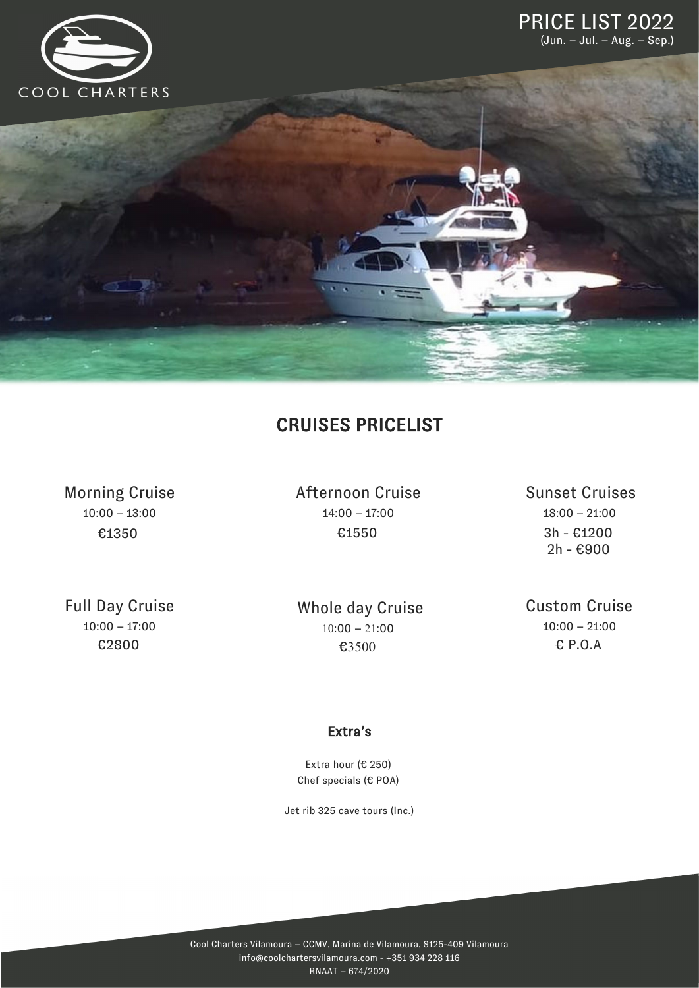

## CRUISES PRICELIST

Morning Cruise 10:00 – 13:00 €1350

Afternoon Cruise 14:00 – 17:00 €1550

Sunset Cruises 18:00 – 21:00 3h - €1200 2h - €900

Full Day Cruise  $10:00 - 17:00$ 

€2800

 $10:00 - 21:00$ €3500 Whole day Cruise Custom Cruise  $10:00 - 21:00$ € P.O.A

#### Extra's

Extra hour (€ 250) Chef specials (€ POA)

Jet rib 325 cave tours (Inc.)

Cool Charters Vilamoura – CCMV, Marina de Vilamoura, 8125-409 Vilamoura info@coolchartersvilamoura.com - +351 934 228 116 RNAAT – 674/2020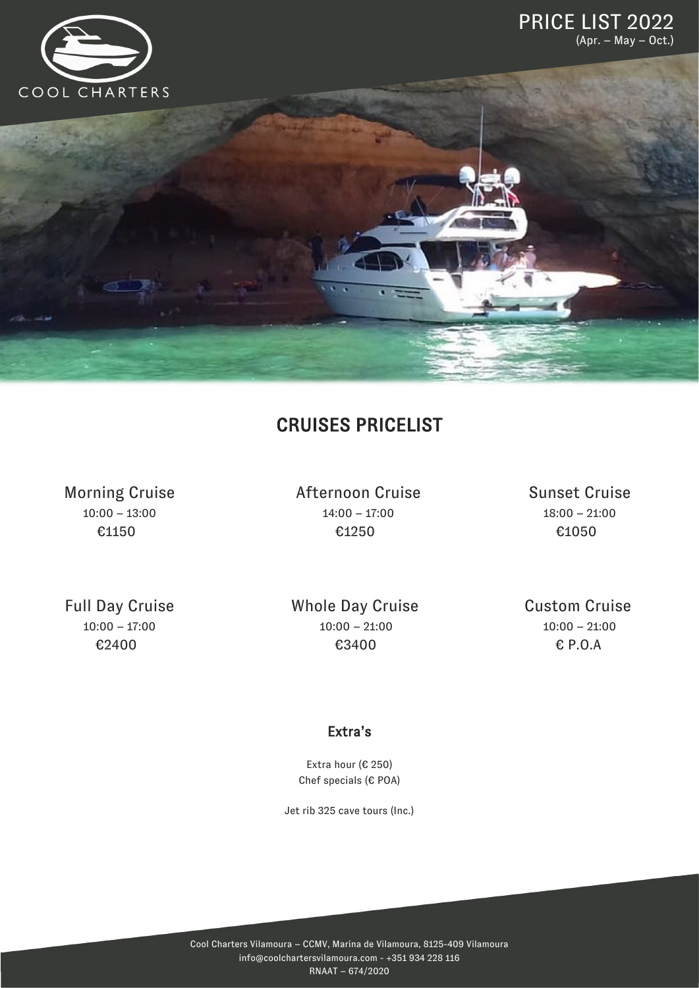

## CRUISES PRICELIST

Morning Cruise 10:00 – 13:00 €1150

Afternoon Cruise 14:00 – 17:00 €1250

Sunset Cruise 18:00 – 21:00 €1050

Full Day Cruise  $10:00 - 17:00$ €2400

Whole Day Cruise 10:00 – 21:00 €3400

Custom Cruise  $10:00 - 21:00$ € P.O.A

### Extra's

Extra hour (€ 250) Chef specials (€ POA)

Jet rib 325 cave tours (Inc.)

Cool Charters Vilamoura – CCMV, Marina de Vilamoura, 8125-409 Vilamoura info@coolchartersvilamoura.com - +351 934 228 116 RNAAT – 674/2020